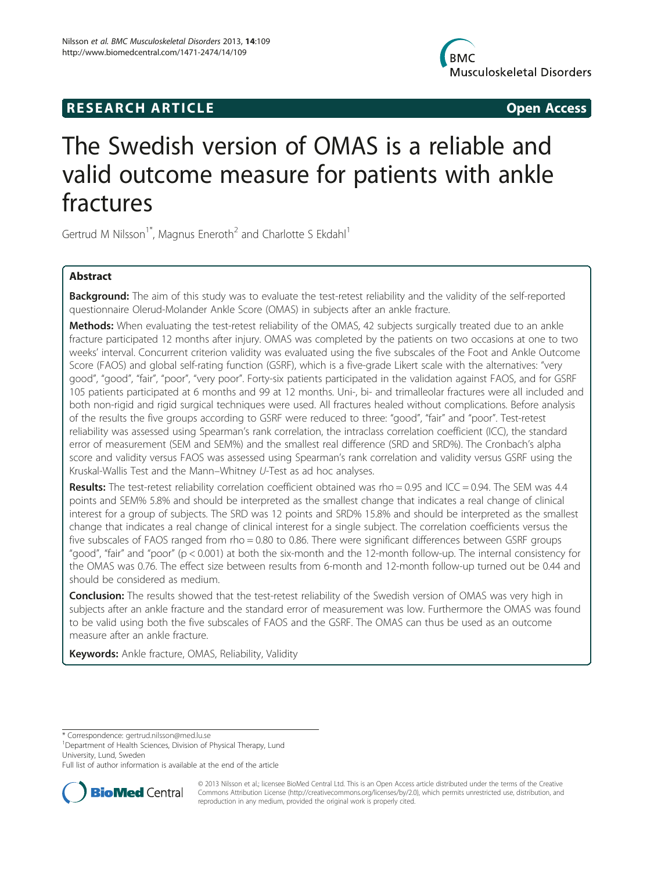## **RESEARCH ARTICLE Example 20 and 20 and 20 and 20 and 20 and 20 and 20 and 20 and 20 and 20 and 20 and 20 and 20 and 20 and 20 and 20 and 20 and 20 and 20 and 20 and 20 and 20 and 20 and 20 and 20 and 20 and 20 and 20 an**



# The Swedish version of OMAS is a reliable and valid outcome measure for patients with ankle fractures

Gertrud M Nilsson<sup>1\*</sup>, Magnus Eneroth<sup>2</sup> and Charlotte S Ekdahl<sup>1</sup>

## Abstract

Background: The aim of this study was to evaluate the test-retest reliability and the validity of the self-reported questionnaire Olerud-Molander Ankle Score (OMAS) in subjects after an ankle fracture.

Methods: When evaluating the test-retest reliability of the OMAS, 42 subjects surgically treated due to an ankle fracture participated 12 months after injury. OMAS was completed by the patients on two occasions at one to two weeks' interval. Concurrent criterion validity was evaluated using the five subscales of the Foot and Ankle Outcome Score (FAOS) and global self-rating function (GSRF), which is a five-grade Likert scale with the alternatives: "very good", "good", "fair", "poor", "very poor". Forty-six patients participated in the validation against FAOS, and for GSRF 105 patients participated at 6 months and 99 at 12 months. Uni-, bi- and trimalleolar fractures were all included and both non-rigid and rigid surgical techniques were used. All fractures healed without complications. Before analysis of the results the five groups according to GSRF were reduced to three: "good", "fair" and "poor". Test-retest reliability was assessed using Spearman's rank correlation, the intraclass correlation coefficient (ICC), the standard error of measurement (SEM and SEM%) and the smallest real difference (SRD and SRD%). The Cronbach's alpha score and validity versus FAOS was assessed using Spearman's rank correlation and validity versus GSRF using the Kruskal-Wallis Test and the Mann–Whitney U-Test as ad hoc analyses.

Results: The test-retest reliability correlation coefficient obtained was rho = 0.95 and ICC = 0.94. The SEM was 4.4 points and SEM% 5.8% and should be interpreted as the smallest change that indicates a real change of clinical interest for a group of subjects. The SRD was 12 points and SRD% 15.8% and should be interpreted as the smallest change that indicates a real change of clinical interest for a single subject. The correlation coefficients versus the five subscales of FAOS ranged from rho = 0.80 to 0.86. There were significant differences between GSRF groups "good", "fair" and "poor" (p < 0.001) at both the six-month and the 12-month follow-up. The internal consistency for the OMAS was 0.76. The effect size between results from 6-month and 12-month follow-up turned out be 0.44 and should be considered as medium.

**Conclusion:** The results showed that the test-retest reliability of the Swedish version of OMAS was very high in subjects after an ankle fracture and the standard error of measurement was low. Furthermore the OMAS was found to be valid using both the five subscales of FAOS and the GSRF. The OMAS can thus be used as an outcome measure after an ankle fracture.

Keywords: Ankle fracture, OMAS, Reliability, Validity

\* Correspondence: [gertrud.nilsson@med.lu.se](mailto:gertrud.nilsson@med.lu.se) <sup>1</sup>

<sup>1</sup>Department of Health Sciences, Division of Physical Therapy, Lund University, Lund, Sweden

Full list of author information is available at the end of the article



© 2013 Nilsson et al.; licensee BioMed Central Ltd. This is an Open Access article distributed under the terms of the Creative Commons Attribution License [\(http://creativecommons.org/licenses/by/2.0\)](http://creativecommons.org/licenses/by/2.0), which permits unrestricted use, distribution, and reproduction in any medium, provided the original work is properly cited.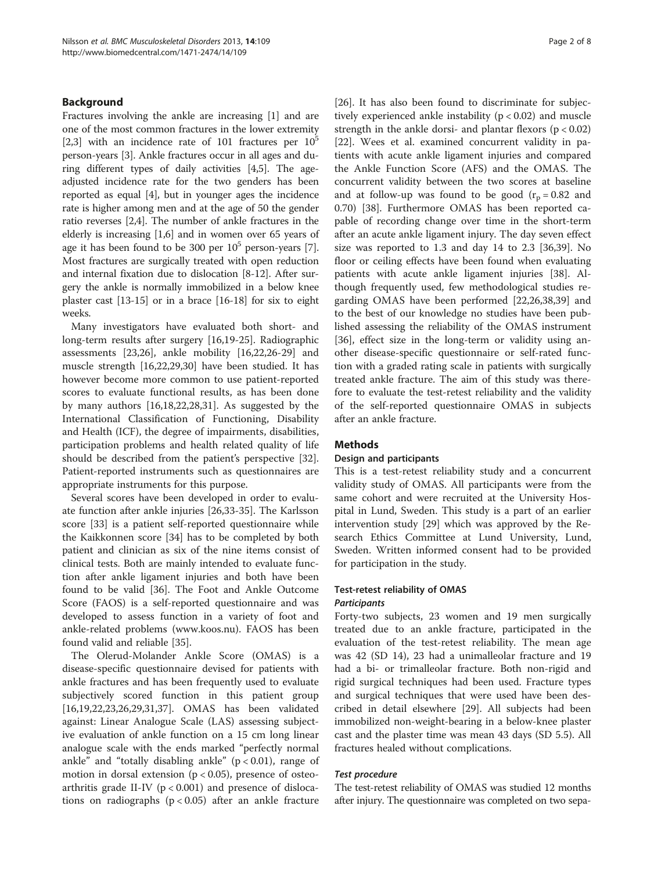#### Background

Fractures involving the ankle are increasing [[1](#page-6-0)] and are one of the most common fractures in the lower extremity [[2,3](#page-6-0)] with an incidence rate of 101 fractures per  $10<sup>5</sup>$ person-years [\[3](#page-6-0)]. Ankle fractures occur in all ages and during different types of daily activities [[4,5](#page-6-0)]. The ageadjusted incidence rate for the two genders has been reported as equal [\[4](#page-6-0)], but in younger ages the incidence rate is higher among men and at the age of 50 the gender ratio reverses [\[2,4](#page-6-0)]. The number of ankle fractures in the elderly is increasing [[1,6](#page-6-0)] and in women over 65 years of age it has been found to be 300 per  $10^5$  person-years [[7](#page-6-0)]. Most fractures are surgically treated with open reduction and internal fixation due to dislocation [[8-12\]](#page-6-0). After surgery the ankle is normally immobilized in a below knee plaster cast [\[13](#page-6-0)-[15](#page-6-0)] or in a brace [[16](#page-6-0)-[18](#page-7-0)] for six to eight weeks.

Many investigators have evaluated both short- and long-term results after surgery [\[16](#page-6-0)[,19](#page-7-0)-[25](#page-7-0)]. Radiographic assessments [\[23,26\]](#page-7-0), ankle mobility [\[16,](#page-6-0)[22,26-29](#page-7-0)] and muscle strength [[16](#page-6-0),[22](#page-7-0),[29](#page-7-0),[30](#page-7-0)] have been studied. It has however become more common to use patient-reported scores to evaluate functional results, as has been done by many authors [\[16](#page-6-0)[,18,22,28,31](#page-7-0)]. As suggested by the International Classification of Functioning, Disability and Health (ICF), the degree of impairments, disabilities, participation problems and health related quality of life should be described from the patient's perspective [\[32](#page-7-0)]. Patient-reported instruments such as questionnaires are appropriate instruments for this purpose.

Several scores have been developed in order to evaluate function after ankle injuries [\[26,33](#page-7-0)-[35](#page-7-0)]. The Karlsson score [\[33](#page-7-0)] is a patient self-reported questionnaire while the Kaikkonnen score [[34\]](#page-7-0) has to be completed by both patient and clinician as six of the nine items consist of clinical tests. Both are mainly intended to evaluate function after ankle ligament injuries and both have been found to be valid [[36\]](#page-7-0). The Foot and Ankle Outcome Score (FAOS) is a self-reported questionnaire and was developed to assess function in a variety of foot and ankle-related problems ([www.koos.nu](http://www.koos.nu/)). FAOS has been found valid and reliable [\[35](#page-7-0)].

The Olerud-Molander Ankle Score (OMAS) is a disease-specific questionnaire devised for patients with ankle fractures and has been frequently used to evaluate subjectively scored function in this patient group [[16,](#page-6-0)[19,22,23,26,29](#page-7-0),[31](#page-7-0),[37](#page-7-0)]. OMAS has been validated against: Linear Analogue Scale (LAS) assessing subjective evaluation of ankle function on a 15 cm long linear analogue scale with the ends marked "perfectly normal ankle" and "totally disabling ankle" ( $p < 0.01$ ), range of motion in dorsal extension ( $p < 0.05$ ), presence of osteoarthritis grade II-IV ( $p < 0.001$ ) and presence of dislocations on radiographs ( $p < 0.05$ ) after an ankle fracture

[[26\]](#page-7-0). It has also been found to discriminate for subjectively experienced ankle instability  $(p < 0.02)$  and muscle strength in the ankle dorsi- and plantar flexors ( $p < 0.02$ ) [[22\]](#page-7-0). Wees et al. examined concurrent validity in patients with acute ankle ligament injuries and compared the Ankle Function Score (AFS) and the OMAS. The concurrent validity between the two scores at baseline and at follow-up was found to be good  $(r_p = 0.82$  and 0.70) [[38\]](#page-7-0). Furthermore OMAS has been reported capable of recording change over time in the short-term after an acute ankle ligament injury. The day seven effect size was reported to 1.3 and day 14 to 2.3 [[36](#page-7-0),[39](#page-7-0)]. No floor or ceiling effects have been found when evaluating patients with acute ankle ligament injuries [\[38\]](#page-7-0). Although frequently used, few methodological studies regarding OMAS have been performed [\[22,26,38,39\]](#page-7-0) and to the best of our knowledge no studies have been published assessing the reliability of the OMAS instrument [[36\]](#page-7-0), effect size in the long-term or validity using another disease-specific questionnaire or self-rated function with a graded rating scale in patients with surgically treated ankle fracture. The aim of this study was therefore to evaluate the test-retest reliability and the validity of the self-reported questionnaire OMAS in subjects after an ankle fracture.

#### **Methods**

#### Design and participants

This is a test-retest reliability study and a concurrent validity study of OMAS. All participants were from the same cohort and were recruited at the University Hospital in Lund, Sweden. This study is a part of an earlier intervention study [[29\]](#page-7-0) which was approved by the Research Ethics Committee at Lund University, Lund, Sweden. Written informed consent had to be provided for participation in the study.

## Test-retest reliability of OMAS

### **Participants**

Forty-two subjects, 23 women and 19 men surgically treated due to an ankle fracture, participated in the evaluation of the test-retest reliability. The mean age was 42 (SD 14), 23 had a unimalleolar fracture and 19 had a bi- or trimalleolar fracture. Both non-rigid and rigid surgical techniques had been used. Fracture types and surgical techniques that were used have been described in detail elsewhere [[29\]](#page-7-0). All subjects had been immobilized non-weight-bearing in a below-knee plaster cast and the plaster time was mean 43 days (SD 5.5). All fractures healed without complications.

#### Test procedure

The test-retest reliability of OMAS was studied 12 months after injury. The questionnaire was completed on two sepa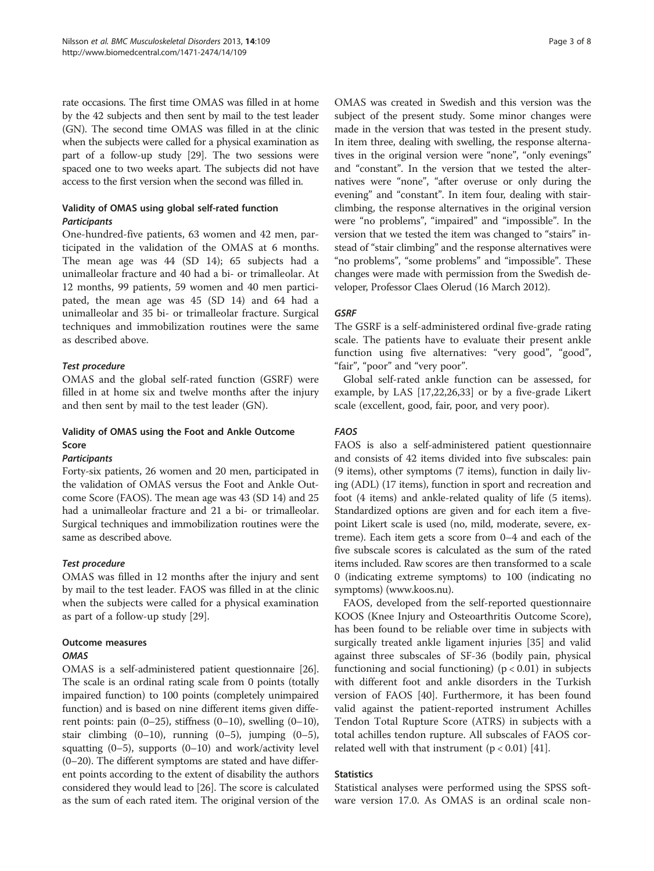rate occasions. The first time OMAS was filled in at home by the 42 subjects and then sent by mail to the test leader (GN). The second time OMAS was filled in at the clinic when the subjects were called for a physical examination as part of a follow-up study [[29](#page-7-0)]. The two sessions were spaced one to two weeks apart. The subjects did not have access to the first version when the second was filled in.

#### Validity of OMAS using global self-rated function **Participants**

One-hundred-five patients, 63 women and 42 men, participated in the validation of the OMAS at 6 months. The mean age was 44 (SD 14); 65 subjects had a unimalleolar fracture and 40 had a bi- or trimalleolar. At 12 months, 99 patients, 59 women and 40 men participated, the mean age was 45 (SD 14) and 64 had a unimalleolar and 35 bi- or trimalleolar fracture. Surgical techniques and immobilization routines were the same as described above.

#### Test procedure

OMAS and the global self-rated function (GSRF) were filled in at home six and twelve months after the injury and then sent by mail to the test leader (GN).

## Validity of OMAS using the Foot and Ankle Outcome Score

#### **Participants**

Forty-six patients, 26 women and 20 men, participated in the validation of OMAS versus the Foot and Ankle Outcome Score (FAOS). The mean age was 43 (SD 14) and 25 had a unimalleolar fracture and 21 a bi- or trimalleolar. Surgical techniques and immobilization routines were the same as described above.

#### Test procedure

OMAS was filled in 12 months after the injury and sent by mail to the test leader. FAOS was filled in at the clinic when the subjects were called for a physical examination as part of a follow-up study [[29](#page-7-0)].

## Outcome measures

## **OMAS**

OMAS is a self-administered patient questionnaire [[26](#page-7-0)]. The scale is an ordinal rating scale from 0 points (totally impaired function) to 100 points (completely unimpaired function) and is based on nine different items given different points: pain  $(0-25)$ , stiffness  $(0-10)$ , swelling  $(0-10)$ , stair climbing  $(0-10)$ , running  $(0-5)$ , jumping  $(0-5)$ , squatting  $(0-5)$ , supports  $(0-10)$  and work/activity level (0–20). The different symptoms are stated and have different points according to the extent of disability the authors considered they would lead to [\[26\]](#page-7-0). The score is calculated as the sum of each rated item. The original version of the

OMAS was created in Swedish and this version was the subject of the present study. Some minor changes were made in the version that was tested in the present study. In item three, dealing with swelling, the response alternatives in the original version were "none", "only evenings" and "constant". In the version that we tested the alternatives were "none", "after overuse or only during the evening" and "constant". In item four, dealing with stairclimbing, the response alternatives in the original version were "no problems", "impaired" and "impossible". In the version that we tested the item was changed to "stairs" instead of "stair climbing" and the response alternatives were "no problems", "some problems" and "impossible". These changes were made with permission from the Swedish developer, Professor Claes Olerud (16 March 2012).

### **GSRF**

The GSRF is a self-administered ordinal five-grade rating scale. The patients have to evaluate their present ankle function using five alternatives: "very good", "good", "fair", "poor" and "very poor".

Global self-rated ankle function can be assessed, for example, by LAS [\[17,](#page-6-0)[22,26,33\]](#page-7-0) or by a five-grade Likert scale (excellent, good, fair, poor, and very poor).

### FAOS

FAOS is also a self-administered patient questionnaire and consists of 42 items divided into five subscales: pain (9 items), other symptoms (7 items), function in daily living (ADL) (17 items), function in sport and recreation and foot (4 items) and ankle-related quality of life (5 items). Standardized options are given and for each item a fivepoint Likert scale is used (no, mild, moderate, severe, extreme). Each item gets a score from 0–4 and each of the five subscale scores is calculated as the sum of the rated items included. Raw scores are then transformed to a scale 0 (indicating extreme symptoms) to 100 (indicating no symptoms) ([www.koos.nu](http://www.koos.nu/)).

FAOS, developed from the self-reported questionnaire KOOS (Knee Injury and Osteoarthritis Outcome Score), has been found to be reliable over time in subjects with surgically treated ankle ligament injuries [[35\]](#page-7-0) and valid against three subscales of SF-36 (bodily pain, physical functioning and social functioning)  $(p < 0.01)$  in subjects with different foot and ankle disorders in the Turkish version of FAOS [[40](#page-7-0)]. Furthermore, it has been found valid against the patient-reported instrument Achilles Tendon Total Rupture Score (ATRS) in subjects with a total achilles tendon rupture. All subscales of FAOS correlated well with that instrument  $(p < 0.01)$  [\[41](#page-7-0)].

## **Statistics**

Statistical analyses were performed using the SPSS software version 17.0. As OMAS is an ordinal scale non-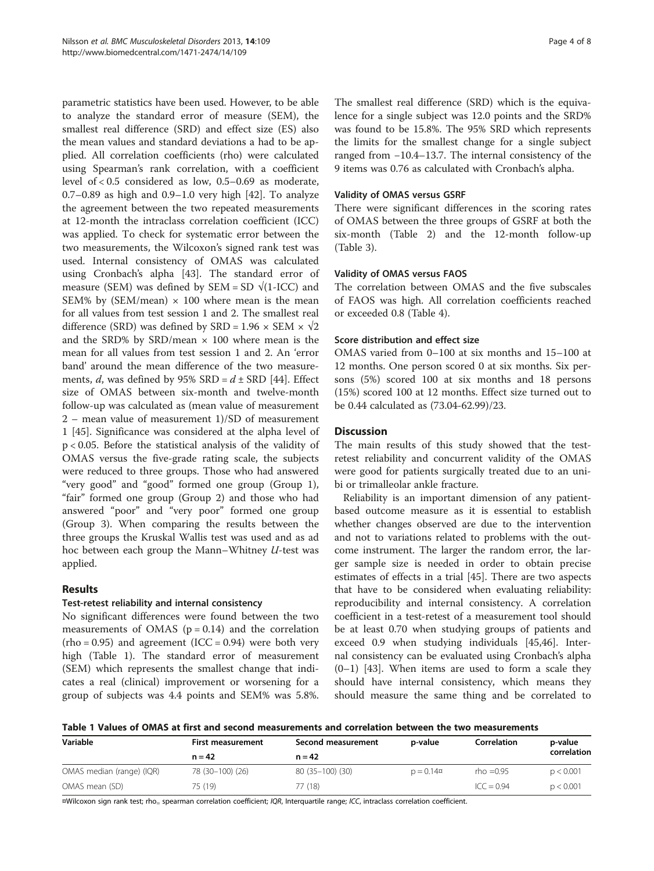parametric statistics have been used. However, to be able to analyze the standard error of measure (SEM), the smallest real difference (SRD) and effect size (ES) also the mean values and standard deviations a had to be applied. All correlation coefficients (rho) were calculated using Spearman's rank correlation, with a coefficient level of < 0.5 considered as low, 0.5–0.69 as moderate,  $0.7-0.89$  as high and  $0.9-1.0$  very high [\[42](#page-7-0)]. To analyze the agreement between the two repeated measurements at 12-month the intraclass correlation coefficient (ICC) was applied. To check for systematic error between the two measurements, the Wilcoxon's signed rank test was used. Internal consistency of OMAS was calculated using Cronbach's alpha [[43](#page-7-0)]. The standard error of measure (SEM) was defined by  $SEM = SD \sqrt{(1-ICC)}$  and SEM% by (SEM/mean)  $\times$  100 where mean is the mean for all values from test session 1 and 2. The smallest real difference (SRD) was defined by SRD = 1.96  $\times$  SEM  $\times$   $\sqrt{2}$ and the SRD% by SRD/mean  $\times$  100 where mean is the mean for all values from test session 1 and 2. An 'error band' around the mean difference of the two measurements, *d*, was defined by 95% SRD =  $d \pm$  SRD [[44\]](#page-7-0). Effect size of OMAS between six-month and twelve-month follow-up was calculated as (mean value of measurement 2 – mean value of measurement 1)/SD of measurement 1 [[45](#page-7-0)]. Significance was considered at the alpha level of p < 0.05. Before the statistical analysis of the validity of OMAS versus the five-grade rating scale, the subjects were reduced to three groups. Those who had answered "very good" and "good" formed one group (Group 1), "fair" formed one group (Group 2) and those who had answered "poor" and "very poor" formed one group (Group 3). When comparing the results between the three groups the Kruskal Wallis test was used and as ad hoc between each group the Mann–Whitney U-test was applied.

#### Results

#### Test-retest reliability and internal consistency

No significant differences were found between the two measurements of OMAS ( $p = 0.14$ ) and the correlation  $(ho = 0.95)$  and agreement  $(ICC = 0.94)$  were both very high (Table 1). The standard error of measurement (SEM) which represents the smallest change that indicates a real (clinical) improvement or worsening for a group of subjects was 4.4 points and SEM% was 5.8%.

The smallest real difference (SRD) which is the equivalence for a single subject was 12.0 points and the SRD% was found to be 15.8%. The 95% SRD which represents the limits for the smallest change for a single subject ranged from −10.4–13.7. The internal consistency of the 9 items was 0.76 as calculated with Cronbach's alpha.

#### Validity of OMAS versus GSRF

There were significant differences in the scoring rates of OMAS between the three groups of GSRF at both the six-month (Table [2\)](#page-4-0) and the 12-month follow-up (Table [3\)](#page-4-0).

## Validity of OMAS versus FAOS

The correlation between OMAS and the five subscales of FAOS was high. All correlation coefficients reached or exceeded 0.8 (Table [4\)](#page-5-0).

#### Score distribution and effect size

OMAS varied from 0–100 at six months and 15–100 at 12 months. One person scored 0 at six months. Six persons (5%) scored 100 at six months and 18 persons (15%) scored 100 at 12 months. Effect size turned out to be 0.44 calculated as (73.04-62.99)/23.

## **Discussion**

The main results of this study showed that the testretest reliability and concurrent validity of the OMAS were good for patients surgically treated due to an unibi or trimalleolar ankle fracture.

Reliability is an important dimension of any patientbased outcome measure as it is essential to establish whether changes observed are due to the intervention and not to variations related to problems with the outcome instrument. The larger the random error, the larger sample size is needed in order to obtain precise estimates of effects in a trial [[45\]](#page-7-0). There are two aspects that have to be considered when evaluating reliability: reproducibility and internal consistency. A correlation coefficient in a test-retest of a measurement tool should be at least 0.70 when studying groups of patients and exceed 0.9 when studying individuals [\[45,46](#page-7-0)]. Internal consistency can be evaluated using Cronbach's alpha  $(0-1)$  [[43](#page-7-0)]. When items are used to form a scale they should have internal consistency, which means they should measure the same thing and be correlated to

Table 1 Values of OMAS at first and second measurements and correlation between the two measurements

| Variable                  | <b>First measurement</b> | Second measurement | p-value     | Correlation  | p-value     |
|---------------------------|--------------------------|--------------------|-------------|--------------|-------------|
|                           | $n = 42$                 | $n = 42$           |             |              | correlation |
| OMAS median (range) (IQR) | 78 (30-100) (26)         | 80 (35-100) (30)   | $p = 0.14a$ | $rho = 0.95$ | p < 0.001   |
| OMAS mean (SD)            | 75 (19)                  | 77 (18)            |             | $ICC = 0.94$ | p < 0.001   |

¤Wilcoxon sign rank test; rho= spearman correlation coefficient; IQR, Interquartile range; ICC, intraclass correlation coefficient.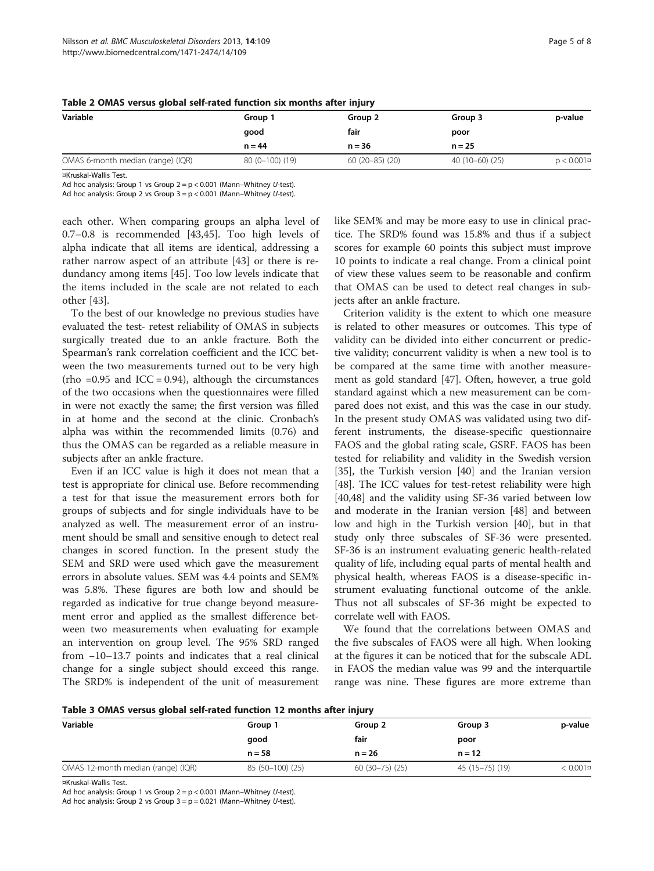| Variable                          | Group 1         | Group 2         | Group 3         | p-value   |
|-----------------------------------|-----------------|-----------------|-----------------|-----------|
|                                   | qood            | fair            | poor            |           |
|                                   | $n = 44$        | $n = 36$        | $n = 25$        |           |
| OMAS 6-month median (range) (IQR) | 80 (0-100) (19) | $60(20-85)(20)$ | 40 (10-60) (25) | p < 0.001 |

#### <span id="page-4-0"></span>Table 2 OMAS versus global self-rated function six months after injury

¤Kruskal-Wallis Test.

Ad hoc analysis: Group 1 vs Group  $2 = p < 0.001$  (Mann–Whitney U-test).

Ad hoc analysis: Group 2 vs Group  $3 = p < 0.001$  (Mann–Whitney U-test).

each other. When comparing groups an alpha level of 0.7–0.8 is recommended [[43,45](#page-7-0)]. Too high levels of alpha indicate that all items are identical, addressing a rather narrow aspect of an attribute [[43\]](#page-7-0) or there is redundancy among items [[45](#page-7-0)]. Too low levels indicate that the items included in the scale are not related to each other [\[43](#page-7-0)].

To the best of our knowledge no previous studies have evaluated the test- retest reliability of OMAS in subjects surgically treated due to an ankle fracture. Both the Spearman's rank correlation coefficient and the ICC between the two measurements turned out to be very high  $(rho = 0.95$  and ICC = 0.94), although the circumstances of the two occasions when the questionnaires were filled in were not exactly the same; the first version was filled in at home and the second at the clinic. Cronbach's alpha was within the recommended limits (0.76) and thus the OMAS can be regarded as a reliable measure in subjects after an ankle fracture.

Even if an ICC value is high it does not mean that a test is appropriate for clinical use. Before recommending a test for that issue the measurement errors both for groups of subjects and for single individuals have to be analyzed as well. The measurement error of an instrument should be small and sensitive enough to detect real changes in scored function. In the present study the SEM and SRD were used which gave the measurement errors in absolute values. SEM was 4.4 points and SEM% was 5.8%. These figures are both low and should be regarded as indicative for true change beyond measurement error and applied as the smallest difference between two measurements when evaluating for example an intervention on group level. The 95% SRD ranged from −10–13.7 points and indicates that a real clinical change for a single subject should exceed this range. The SRD% is independent of the unit of measurement like SEM% and may be more easy to use in clinical practice. The SRD% found was 15.8% and thus if a subject scores for example 60 points this subject must improve 10 points to indicate a real change. From a clinical point of view these values seem to be reasonable and confirm that OMAS can be used to detect real changes in subjects after an ankle fracture.

Criterion validity is the extent to which one measure is related to other measures or outcomes. This type of validity can be divided into either concurrent or predictive validity; concurrent validity is when a new tool is to be compared at the same time with another measurement as gold standard [[47\]](#page-7-0). Often, however, a true gold standard against which a new measurement can be compared does not exist, and this was the case in our study. In the present study OMAS was validated using two different instruments, the disease-specific questionnaire FAOS and the global rating scale, GSRF. FAOS has been tested for reliability and validity in the Swedish version [[35\]](#page-7-0), the Turkish version [[40](#page-7-0)] and the Iranian version [[48\]](#page-7-0). The ICC values for test-retest reliability were high [[40,48\]](#page-7-0) and the validity using SF-36 varied between low and moderate in the Iranian version [[48\]](#page-7-0) and between low and high in the Turkish version [\[40](#page-7-0)], but in that study only three subscales of SF-36 were presented. SF-36 is an instrument evaluating generic health-related quality of life, including equal parts of mental health and physical health, whereas FAOS is a disease-specific instrument evaluating functional outcome of the ankle. Thus not all subscales of SF-36 might be expected to correlate well with FAOS.

We found that the correlations between OMAS and the five subscales of FAOS were all high. When looking at the figures it can be noticed that for the subscale ADL in FAOS the median value was 99 and the interquartile range was nine. These figures are more extreme than

| Table 3 OMAS versus global self-rated function 12 months after injury |  |  |  |  |  |
|-----------------------------------------------------------------------|--|--|--|--|--|
|-----------------------------------------------------------------------|--|--|--|--|--|

| Variable                           | Group 1          | Group 2         | Group 3         | p-value     |
|------------------------------------|------------------|-----------------|-----------------|-------------|
|                                    | qood             | fair            | poor            |             |
|                                    | $n = 58$         | $n = 26$        | $n = 12$        |             |
| OMAS 12-month median (range) (IQR) | 85 (50-100) (25) | 60 (30–75) (25) | 45 (15–75) (19) | $< 0.001$ ¤ |

¤Kruskal-Wallis Test.

Ad hoc analysis: Group 1 vs Group  $2 = p < 0.001$  (Mann–Whitney U-test).

Ad hoc analysis: Group 2 vs Group  $3 = p = 0.021$  (Mann–Whitney U-test).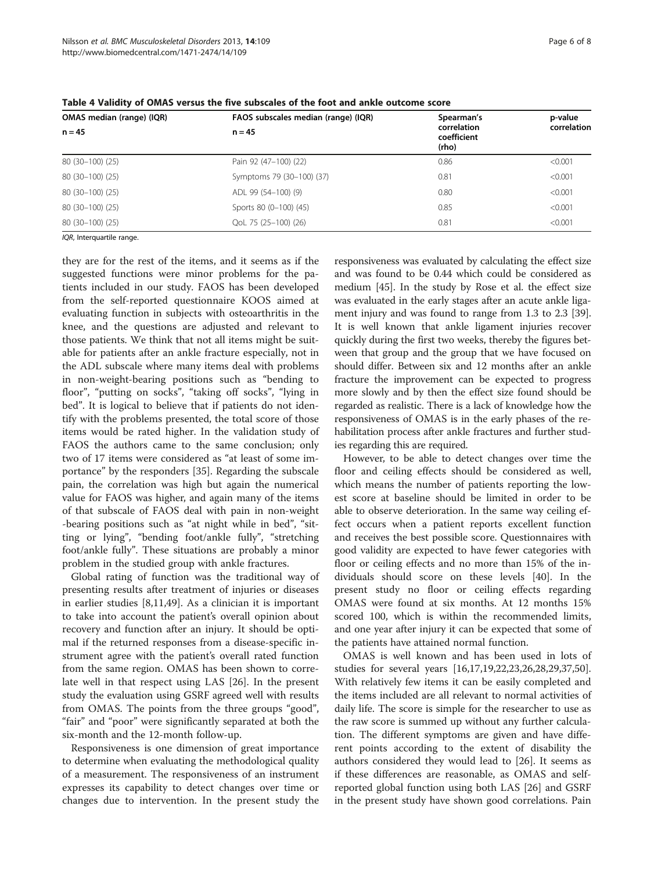| OMAS median (range) (IQR) | FAOS subscales median (range) (IQR) | Spearman's                          | p-value     |
|---------------------------|-------------------------------------|-------------------------------------|-------------|
| n = 45                    | $n = 45$                            | correlation<br>coefficient<br>(rho) | correlation |
| 80 (30-100) (25)          | Pain 92 (47-100) (22)               | 0.86                                | < 0.001     |
| 80 (30-100) (25)          | Symptoms 79 (30-100) (37)           | 0.81                                | < 0.001     |
| 80 (30-100) (25)          | ADL 99 (54-100) (9)                 | 0.80                                | < 0.001     |
| 80 (30-100) (25)          | Sports 80 (0-100) (45)              | 0.85                                | < 0.001     |
| 80 (30-100) (25)          | OoL 75 (25-100) (26)                | 0.81                                | < 0.001     |

<span id="page-5-0"></span>Table 4 Validity of OMAS versus the five subscales of the foot and ankle outcome score

IQR, Interquartile range.

they are for the rest of the items, and it seems as if the suggested functions were minor problems for the patients included in our study. FAOS has been developed from the self-reported questionnaire KOOS aimed at evaluating function in subjects with osteoarthritis in the knee, and the questions are adjusted and relevant to those patients. We think that not all items might be suitable for patients after an ankle fracture especially, not in the ADL subscale where many items deal with problems in non-weight-bearing positions such as "bending to floor", "putting on socks", "taking off socks", "lying in bed". It is logical to believe that if patients do not identify with the problems presented, the total score of those items would be rated higher. In the validation study of FAOS the authors came to the same conclusion; only two of 17 items were considered as "at least of some importance" by the responders [[35](#page-7-0)]. Regarding the subscale pain, the correlation was high but again the numerical value for FAOS was higher, and again many of the items of that subscale of FAOS deal with pain in non-weight -bearing positions such as "at night while in bed", "sitting or lying", "bending foot/ankle fully", "stretching foot/ankle fully". These situations are probably a minor problem in the studied group with ankle fractures.

Global rating of function was the traditional way of presenting results after treatment of injuries or diseases in earlier studies [\[8](#page-6-0),[11](#page-6-0)[,49](#page-7-0)]. As a clinician it is important to take into account the patient's overall opinion about recovery and function after an injury. It should be optimal if the returned responses from a disease-specific instrument agree with the patient's overall rated function from the same region. OMAS has been shown to correlate well in that respect using LAS [[26\]](#page-7-0). In the present study the evaluation using GSRF agreed well with results from OMAS. The points from the three groups "good", "fair" and "poor" were significantly separated at both the six-month and the 12-month follow-up.

Responsiveness is one dimension of great importance to determine when evaluating the methodological quality of a measurement. The responsiveness of an instrument expresses its capability to detect changes over time or changes due to intervention. In the present study the

responsiveness was evaluated by calculating the effect size and was found to be 0.44 which could be considered as medium [\[45\]](#page-7-0). In the study by Rose et al. the effect size was evaluated in the early stages after an acute ankle ligament injury and was found to range from 1.3 to 2.3 [[39](#page-7-0)]. It is well known that ankle ligament injuries recover quickly during the first two weeks, thereby the figures between that group and the group that we have focused on should differ. Between six and 12 months after an ankle fracture the improvement can be expected to progress more slowly and by then the effect size found should be regarded as realistic. There is a lack of knowledge how the responsiveness of OMAS is in the early phases of the rehabilitation process after ankle fractures and further studies regarding this are required.

However, to be able to detect changes over time the floor and ceiling effects should be considered as well, which means the number of patients reporting the lowest score at baseline should be limited in order to be able to observe deterioration. In the same way ceiling effect occurs when a patient reports excellent function and receives the best possible score. Questionnaires with good validity are expected to have fewer categories with floor or ceiling effects and no more than 15% of the individuals should score on these levels [\[40\]](#page-7-0). In the present study no floor or ceiling effects regarding OMAS were found at six months. At 12 months 15% scored 100, which is within the recommended limits, and one year after injury it can be expected that some of the patients have attained normal function.

OMAS is well known and has been used in lots of studies for several years [[16,17,](#page-6-0)[19,22](#page-7-0),[23](#page-7-0),[26](#page-7-0),[28](#page-7-0),[29,37,50](#page-7-0)]. With relatively few items it can be easily completed and the items included are all relevant to normal activities of daily life. The score is simple for the researcher to use as the raw score is summed up without any further calculation. The different symptoms are given and have different points according to the extent of disability the authors considered they would lead to [[26\]](#page-7-0). It seems as if these differences are reasonable, as OMAS and selfreported global function using both LAS [\[26](#page-7-0)] and GSRF in the present study have shown good correlations. Pain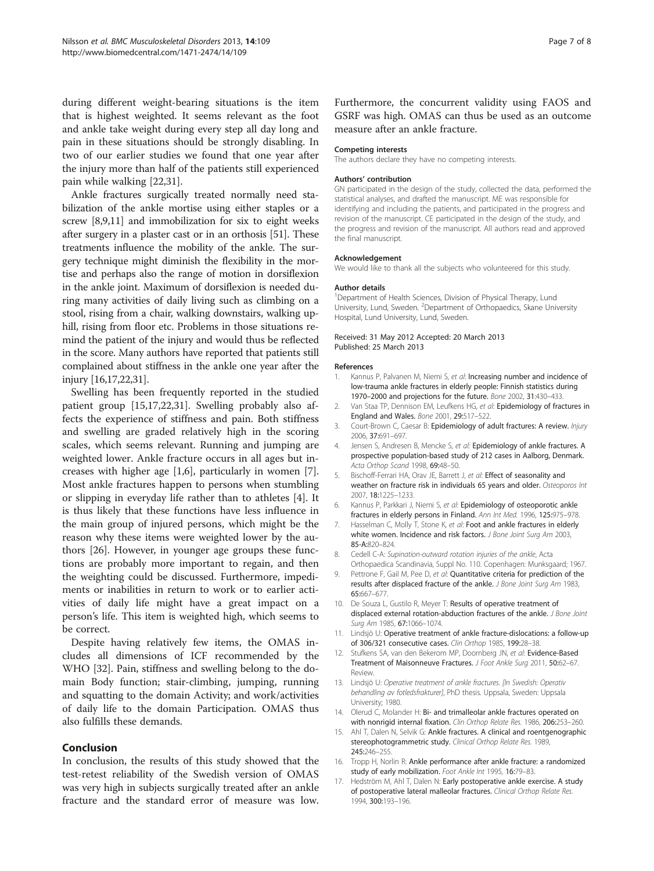<span id="page-6-0"></span>during different weight-bearing situations is the item that is highest weighted. It seems relevant as the foot and ankle take weight during every step all day long and pain in these situations should be strongly disabling. In two of our earlier studies we found that one year after the injury more than half of the patients still experienced pain while walking [\[22,31](#page-7-0)].

Ankle fractures surgically treated normally need stabilization of the ankle mortise using either staples or a screw [8,9,11] and immobilization for six to eight weeks after surgery in a plaster cast or in an orthosis [[51](#page-7-0)]. These treatments influence the mobility of the ankle. The surgery technique might diminish the flexibility in the mortise and perhaps also the range of motion in dorsiflexion in the ankle joint. Maximum of dorsiflexion is needed during many activities of daily living such as climbing on a stool, rising from a chair, walking downstairs, walking uphill, rising from floor etc. Problems in those situations remind the patient of the injury and would thus be reflected in the score. Many authors have reported that patients still complained about stiffness in the ankle one year after the injury [16,17[,22,31](#page-7-0)].

Swelling has been frequently reported in the studied patient group [15,17[,22,31](#page-7-0)]. Swelling probably also affects the experience of stiffness and pain. Both stiffness and swelling are graded relatively high in the scoring scales, which seems relevant. Running and jumping are weighted lower. Ankle fracture occurs in all ages but increases with higher age [1,6], particularly in women [7]. Most ankle fractures happen to persons when stumbling or slipping in everyday life rather than to athletes [4]. It is thus likely that these functions have less influence in the main group of injured persons, which might be the reason why these items were weighted lower by the authors [[26\]](#page-7-0). However, in younger age groups these functions are probably more important to regain, and then the weighting could be discussed. Furthermore, impediments or inabilities in return to work or to earlier activities of daily life might have a great impact on a person's life. This item is weighted high, which seems to be correct.

Despite having relatively few items, the OMAS includes all dimensions of ICF recommended by the WHO [\[32\]](#page-7-0). Pain, stiffness and swelling belong to the domain Body function; stair-climbing, jumping, running and squatting to the domain Activity; and work/activities of daily life to the domain Participation. OMAS thus also fulfills these demands.

#### Conclusion

In conclusion, the results of this study showed that the test-retest reliability of the Swedish version of OMAS was very high in subjects surgically treated after an ankle fracture and the standard error of measure was low. Furthermore, the concurrent validity using FAOS and GSRF was high. OMAS can thus be used as an outcome measure after an ankle fracture.

#### Competing interests

The authors declare they have no competing interests.

#### Authors' contribution

GN participated in the design of the study, collected the data, performed the statistical analyses, and drafted the manuscript. ME was responsible for identifying and including the patients, and participated in the progress and revision of the manuscript. CE participated in the design of the study, and the progress and revision of the manuscript. All authors read and approved the final manuscript.

#### Acknowledgement

We would like to thank all the subjects who volunteered for this study.

#### Author details

<sup>1</sup>Department of Health Sciences, Division of Physical Therapy, Lund University, Lund, Sweden. <sup>2</sup> Department of Orthopaedics, Skane University Hospital, Lund University, Lund, Sweden.

#### Received: 31 May 2012 Accepted: 20 March 2013 Published: 25 March 2013

#### References

- 1. Kannus P, Palvanen M, Niemi S, et al: Increasing number and incidence of low-trauma ankle fractures in elderly people: Finnish statistics during 1970–2000 and projections for the future. Bone 2002, 31:430–433.
- 2. Van Staa TP, Dennison EM, Leufkens HG, et al: Epidemiology of fractures in England and Wales. Bone 2001, 29:517–522.
- 3. Court-Brown C, Caesar B: Epidemiology of adult fractures: A review. Injury 2006, 37:691–697.
- 4. Jensen S, Andresen B, Mencke S, et al: Epidemiology of ankle fractures. A prospective population-based study of 212 cases in Aalborg, Denmark. Acta Orthop Scand 1998, 69:48–50.
- 5. Bischoff-Ferrari HA, Orav JE, Barrett J, et al: Effect of seasonality and weather on fracture risk in individuals 65 years and older. Osteoporos Int 2007, 18:1225–1233.
- Kannus P, Parkkari J, Niemi S, et al: Epidemiology of osteoporotic ankle fractures in elderly persons in Finland. Ann Int Med. 1996, 125:975–978.
- 7. Hasselman C, Molly T, Stone K, et al: Foot and ankle fractures in elderly white women. Incidence and risk factors. J Bone Joint Surg Am 2003, 85-A:820–824.
- 8. Cedell C-A: Supination-outward rotation injuries of the ankle, Acta Orthopaedica Scandinavia, Suppl No. 110. Copenhagen: Munksgaard; 1967.
- 9. Pettrone F, Gail M, Pee D, et al: Quantitative criteria for prediction of the results after displaced fracture of the ankle. J Bone Joint Surg Am 1983, 65:667–677.
- 10. De Souza L, Gustilo R, Meyer T: Results of operative treatment of displaced external rotation-abduction fractures of the ankle. J Bone Joint Surg Am 1985, 67:1066–1074.
- 11. Lindsjö U: Operative treatment of ankle fracture-dislocations: a follow-up of 306/321 consecutive cases. Clin Orthop 1985, 199:28–38.
- 12. Stufkens SA, van den Bekerom MP, Doornberg JN, et al: Evidence-Based Treatment of Maisonneuve Fractures. J Foot Ankle Surg 2011, 50:62–67. Review.
- 13. Lindsjö U: Operative treatment of ankle fractures. [In Swedish: Operativ behandling av fotledsfrakturer], PhD thesis. Uppsala, Sweden: Uppsala University; 1980.
- 14. Olerud C, Molander H: Bi- and trimalleolar ankle fractures operated on with nonrigid internal fixation. Clin Orthop Relate Res. 1986, 206:253–260.
- 15. Ahl T, Dalen N, Selvik G: Ankle fractures. A clinical and roentgenographic stereophotogrammetric study. Clinical Orthop Relate Res. 1989, 245:246–255.
- 16. Tropp H, Norlin R: Ankle performance after ankle fracture: a randomized study of early mobilization. Foot Ankle Int 1995, 16:79–83.
- 17. Hedström M, Ahl T, Dalen N: Early postoperative ankle exercise. A study of postoperative lateral malleolar fractures. Clinical Orthop Relate Res. 1994, 300:193–196.